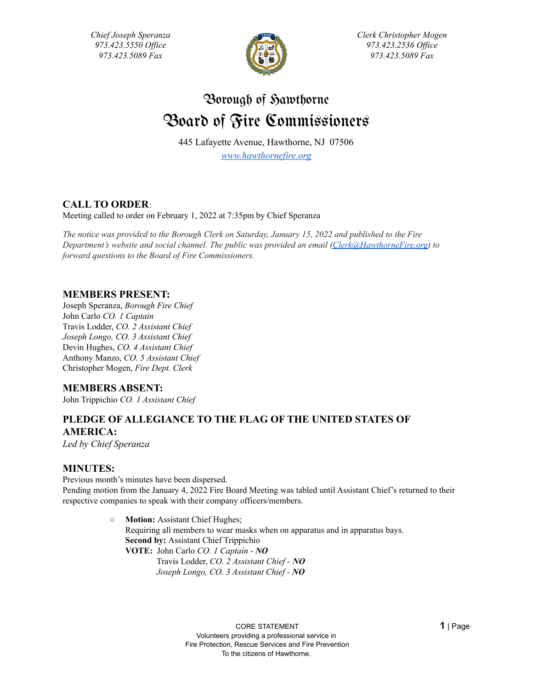*Chief Joseph Speranza 973.423.5550 Of ice 973.423.5089 Fax*



*Clerk Christopher Mogen 973.423.2536 Of ice 973.423.5089 Fax*

# Borough of Sawthorne Board of Fire Commissioners

445 Lafayette Avenue, Hawthorne, NJ 07506 *[www.hawthornefire.org](http://www.hawthornefire.org)*

# **CALL TO ORDER**:

Meeting called to order on February 1, 2022 at 7:35pm by Chief Speranza

The notice was provided to the Borough Clerk on Saturday, January 15, 2022 and published to the Fire *Department's website and social channel. The public was provided an email [\(Clerk@HawthorneFire.org\)](mailto:Clerk@HawthorneFire.org) to forward questions to the Board of Fire Commissioners.*

## **MEMBERS PRESENT:**

Joseph Speranza, *Borough Fire Chief* John Carlo *CO. 1 Captain* Travis Lodder, *CO. 2 Assistant Chief Joseph Longo, CO. 3 Assistant Chief* Devin Hughes, *CO. 4 Assistant Chief* Anthony Manzo, *CO. 5 Assistant Chief* Christopher Mogen, *Fire Dept. Clerk*

## **MEMBERS ABSENT:**

John Trippichio *CO. 1 Assistant Chief*

# **PLEDGE OF ALLEGIANCE TO THE FLAG OF THE UNITED STATES OF AMERICA:**

*Led by Chief Speranza*

## **MINUTES:**

Previous month's minutes have been dispersed. Pending motion from the January 4, 2022 Fire Board Meeting was tabled until Assistant Chief's returned to their respective companies to speak with their company officers/members.

> ○ **Motion:** Assistant Chief Hughes; Requiring all members to wear masks when on apparatus and in apparatus bays. **Second by:** Assistant Chief Trippichio **VOTE:** John Carlo *CO. 1 Captain - NO* Travis Lodder, *CO. 2 Assistant Chief - NO Joseph Longo, CO. 3 Assistant Chief - NO*

> > CORE STATEMENT **1** | Page Volunteers providing a professional service in Fire Protection, Rescue Services and Fire Prevention To the citizens of Hawthorne.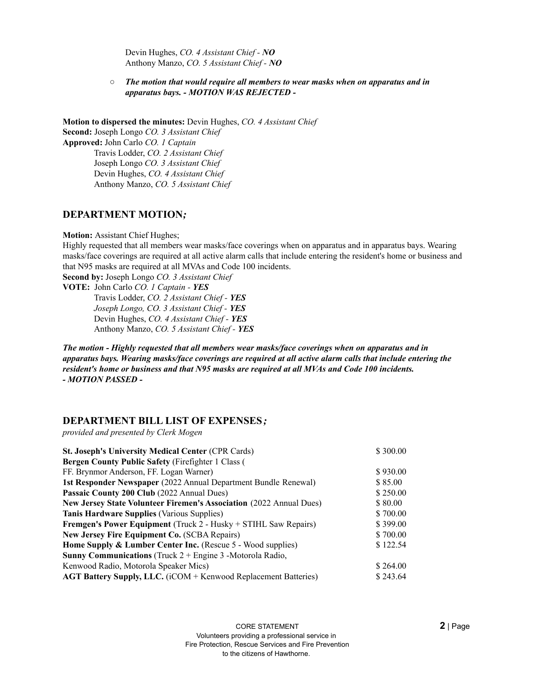Devin Hughes, *CO. 4 Assistant Chief - NO* Anthony Manzo, *CO. 5 Assistant Chief - NO*

*○ The motion that would require all members to wear masks when on apparatus and in apparatus bays. - MOTION WAS REJECTED -*

**Motion to dispersed the minutes:** Devin Hughes, *CO. 4 Assistant Chief* **Second:** Joseph Longo *CO. 3 Assistant Chief* **Approved:** John Carlo *CO. 1 Captain* Travis Lodder, *CO. 2 Assistant Chief* Joseph Longo *CO. 3 Assistant Chief* Devin Hughes, *CO. 4 Assistant Chief* Anthony Manzo, *CO. 5 Assistant Chief*

#### **DEPARTMENT MOTION***;*

**Motion:** Assistant Chief Hughes;

Highly requested that all members wear masks/face coverings when on apparatus and in apparatus bays. Wearing masks/face coverings are required at all active alarm calls that include entering the resident's home or business and that N95 masks are required at all MVAs and Code 100 incidents.

**Second by:** Joseph Longo *CO. 3 Assistant Chief*

**VOTE:** John Carlo *CO. 1 Captain - YES*

Travis Lodder, *CO. 2 Assistant Chief - YES Joseph Longo, CO. 3 Assistant Chief - YES* Devin Hughes, *CO. 4 Assistant Chief - YES* Anthony Manzo, *CO. 5 Assistant Chief - YES*

*The motion - Highly requested that all members wear masks/face coverings when on apparatus and in apparatus bays. Wearing masks/face coverings are required at all active alarm calls that include entering the resident's home or business and that N95 masks are required at all MVAs and Code 100 incidents. - MOTION PASSED -*

### **DEPARTMENT BILL LIST OF EXPENSES***;*

*provided and presented by Clerk Mogen*

| <b>St. Joseph's University Medical Center (CPR Cards)</b>              | \$300.00 |
|------------------------------------------------------------------------|----------|
| <b>Bergen County Public Safety (Firefighter 1 Class (</b>              |          |
| FF. Brynmor Anderson, FF. Logan Warner)                                | \$930.00 |
| <b>1st Responder Newspaper</b> (2022 Annual Department Bundle Renewal) | \$85.00  |
| Passaic County 200 Club (2022 Annual Dues)                             | \$250.00 |
| New Jersey State Volunteer Firemen's Association (2022 Annual Dues)    | \$80.00  |
| <b>Tanis Hardware Supplies (Various Supplies)</b>                      | \$700.00 |
| Fremgen's Power Equipment (Truck 2 - Husky + STIHL Saw Repairs)        | \$399.00 |
| <b>New Jersey Fire Equipment Co. (SCBA Repairs)</b>                    | \$700.00 |
| <b>Home Supply &amp; Lumber Center Inc.</b> (Rescue 5 - Wood supplies) | \$122.54 |
| <b>Sunny Communications</b> (Truck $2 +$ Engine 3 -Motorola Radio,     |          |
| Kenwood Radio, Motorola Speaker Mics)                                  | \$264.00 |
| <b>AGT Battery Supply, LLC.</b> (iCOM + Kenwood Replacement Batteries) | \$243.64 |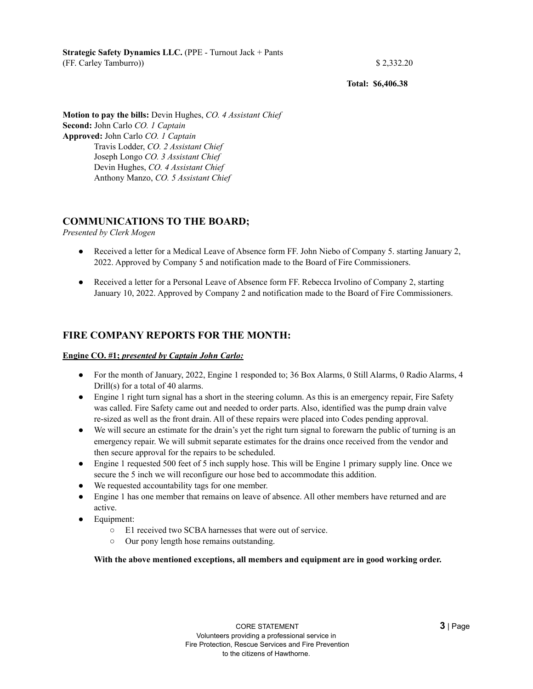**Strategic Safety Dynamics LLC.** (PPE - Turnout Jack + Pants (FF. Carley Tamburro)) \$ 2,332.20

**Total: \$6,406.38**

**Motion to pay the bills:** Devin Hughes, *CO. 4 Assistant Chief* **Second:** John Carlo *CO. 1 Captain* **Approved:** John Carlo *CO. 1 Captain* Travis Lodder, *CO. 2 Assistant Chief* Joseph Longo *CO. 3 Assistant Chief* Devin Hughes, *CO. 4 Assistant Chief* Anthony Manzo, *CO. 5 Assistant Chief*

## **COMMUNICATIONS TO THE BOARD;**

*Presented by Clerk Mogen*

- Received a letter for a Medical Leave of Absence form FF. John Niebo of Company 5. starting January 2, 2022. Approved by Company 5 and notification made to the Board of Fire Commissioners.
- Received a letter for a Personal Leave of Absence form FF. Rebecca Irvolino of Company 2, starting January 10, 2022. Approved by Company 2 and notification made to the Board of Fire Commissioners.

## **FIRE COMPANY REPORTS FOR THE MONTH:**

#### **Engine CO. #1;** *presented by Captain John Carlo:*

- For the month of January, 2022, Engine 1 responded to; 36 Box Alarms, 0 Still Alarms, 0 Radio Alarms, 4 Drill(s) for a total of 40 alarms.
- Engine 1 right turn signal has a short in the steering column. As this is an emergency repair, Fire Safety was called. Fire Safety came out and needed to order parts. Also, identified was the pump drain valve re-sized as well as the front drain. All of these repairs were placed into Codes pending approval.
- We will secure an estimate for the drain's yet the right turn signal to forewarn the public of turning is an emergency repair. We will submit separate estimates for the drains once received from the vendor and then secure approval for the repairs to be scheduled.
- Engine 1 requested 500 feet of 5 inch supply hose. This will be Engine 1 primary supply line. Once we secure the 5 inch we will reconfigure our hose bed to accommodate this addition.
- We requested accountability tags for one member.
- Engine 1 has one member that remains on leave of absence. All other members have returned and are active.
- Equipment:
	- E1 received two SCBA harnesses that were out of service.
	- Our pony length hose remains outstanding.

**With the above mentioned exceptions, all members and equipment are in good working order.**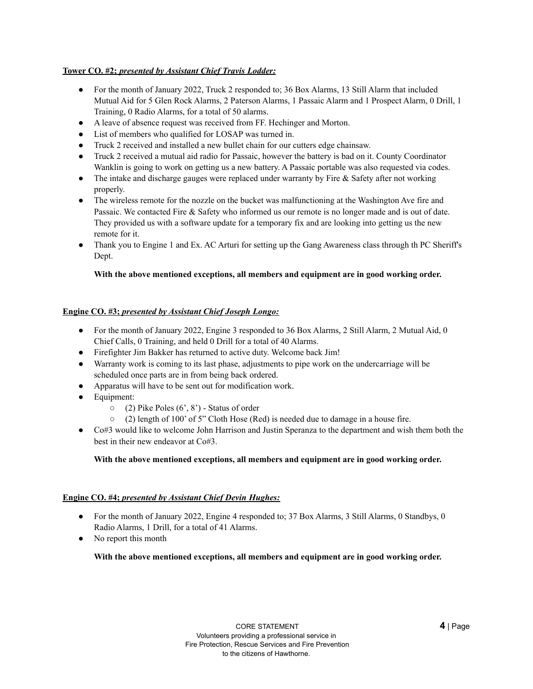#### **Tower CO. #2;** *presented by Assistant Chief Travis Lodder:*

- For the month of January 2022, Truck 2 responded to; 36 Box Alarms, 13 Still Alarm that included Mutual Aid for 5 Glen Rock Alarms, 2 Paterson Alarms, 1 Passaic Alarm and 1 Prospect Alarm, 0 Drill, 1 Training, 0 Radio Alarms, for a total of 50 alarms.
- A leave of absence request was received from FF. Hechinger and Morton.
- List of members who qualified for LOSAP was turned in.
- Truck 2 received and installed a new bullet chain for our cutters edge chainsaw.
- Truck 2 received a mutual aid radio for Passaic, however the battery is bad on it. County Coordinator Wanklin is going to work on getting us a new battery. A Passaic portable was also requested via codes.
- The intake and discharge gauges were replaced under warranty by Fire & Safety after not working properly.
- The wireless remote for the nozzle on the bucket was malfunctioning at the Washington Ave fire and Passaic. We contacted Fire & Safety who informed us our remote is no longer made and is out of date. They provided us with a software update for a temporary fix and are looking into getting us the new remote for it.
- Thank you to Engine 1 and Ex. AC Arturi for setting up the Gang Awareness class through th PC Sheriff's Dept.

#### **With the above mentioned exceptions, all members and equipment are in good working order.**

#### **Engine CO. #3;** *presented by Assistant Chief Joseph Longo:*

- For the month of January 2022, Engine 3 responded to 36 Box Alarms, 2 Still Alarm, 2 Mutual Aid, 0 Chief Calls, 0 Training, and held 0 Drill for a total of 40 Alarms.
- Firefighter Jim Bakker has returned to active duty. Welcome back Jim!
- Warranty work is coming to its last phase, adjustments to pipe work on the undercarriage will be scheduled once parts are in from being back ordered.
- Apparatus will have to be sent out for modification work.
- Equipment:
	- $\circ$  (2) Pike Poles (6', 8') Status of order
	- $\circ$  (2) length of 100' of 5" Cloth Hose (Red) is needed due to damage in a house fire.
- Co#3 would like to welcome John Harrison and Justin Speranza to the department and wish them both the best in their new endeavor at Co#3.

#### **With the above mentioned exceptions, all members and equipment are in good working order.**

#### **Engine CO. #4;** *presented by Assistant Chief Devin Hughes:*

- For the month of January 2022, Engine 4 responded to; 37 Box Alarms, 3 Still Alarms, 0 Standbys, 0 Radio Alarms, 1 Drill, for a total of 41 Alarms.
- No report this month

#### **With the above mentioned exceptions, all members and equipment are in good working order.**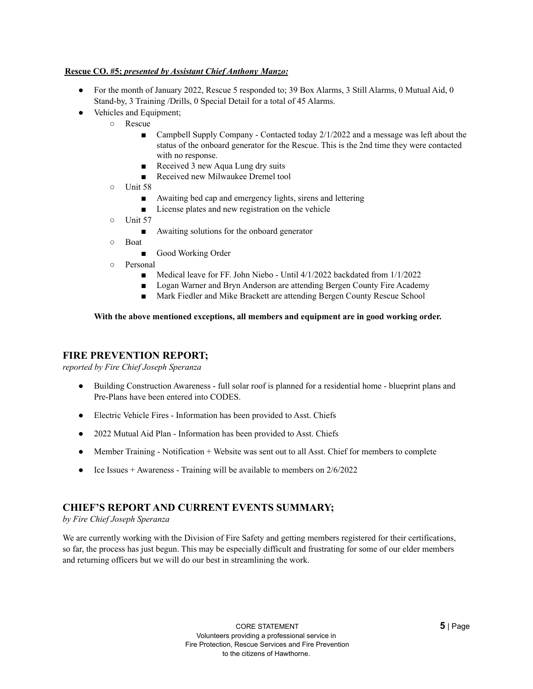#### **Rescue CO. #5;** *presented by Assistant Chief Anthony Manzo:*

- For the month of January 2022, Rescue 5 responded to; 39 Box Alarms, 3 Still Alarms, 0 Mutual Aid, 0 Stand-by, 3 Training /Drills, 0 Special Detail for a total of 45 Alarms.
	- Vehicles and Equipment;
		- Rescue
			- Campbell Supply Company Contacted today  $2/1/2022$  and a message was left about the status of the onboard generator for the Rescue. This is the 2nd time they were contacted with no response.
			- Received 3 new Aqua Lung dry suits
			- Received new Milwaukee Dremel tool
		- Unit 58
			- Awaiting bed cap and emergency lights, sirens and lettering
			- License plates and new registration on the vehicle
		- Unit 57
			- Awaiting solutions for the onboard generator
		- Boat
			- Good Working Order
		- Personal
			- Medical leave for FF. John Niebo Until 4/1/2022 backdated from 1/1/2022
			- Logan Warner and Bryn Anderson are attending Bergen County Fire Academy
			- Mark Fiedler and Mike Brackett are attending Bergen County Rescue School

#### **With the above mentioned exceptions, all members and equipment are in good working order.**

#### **FIRE PREVENTION REPORT;**

*reported by Fire Chief Joseph Speranza*

- Building Construction Awareness full solar roof is planned for a residential home blueprint plans and Pre-Plans have been entered into CODES.
- Electric Vehicle Fires Information has been provided to Asst. Chiefs
- 2022 Mutual Aid Plan Information has been provided to Asst. Chiefs
- Member Training Notification + Website was sent out to all Asst. Chief for members to complete
- Ice Issues  $+$  Awareness Training will be available to members on  $2/6/2022$

## **CHIEF'S REPORT AND CURRENT EVENTS SUMMARY;**

*by Fire Chief Joseph Speranza*

We are currently working with the Division of Fire Safety and getting members registered for their certifications, so far, the process has just begun. This may be especially difficult and frustrating for some of our elder members and returning officers but we will do our best in streamlining the work.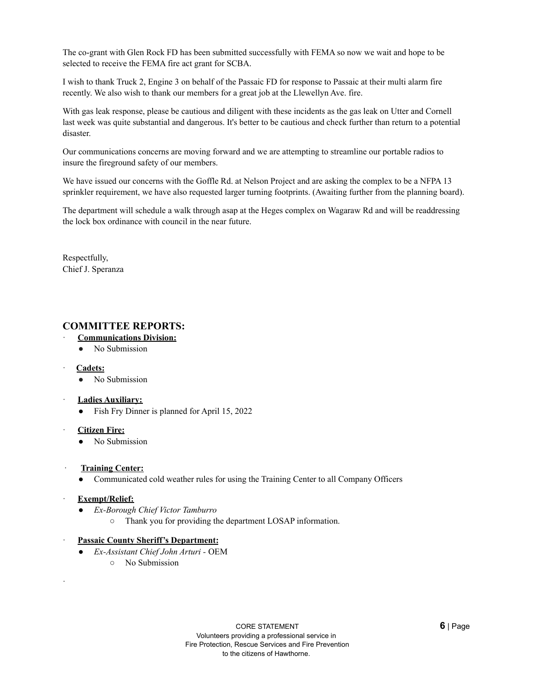The co-grant with Glen Rock FD has been submitted successfully with FEMA so now we wait and hope to be selected to receive the FEMA fire act grant for SCBA.

I wish to thank Truck 2, Engine 3 on behalf of the Passaic FD for response to Passaic at their multi alarm fire recently. We also wish to thank our members for a great job at the Llewellyn Ave. fire.

With gas leak response, please be cautious and diligent with these incidents as the gas leak on Utter and Cornell last week was quite substantial and dangerous. It's better to be cautious and check further than return to a potential disaster.

Our communications concerns are moving forward and we are attempting to streamline our portable radios to insure the fireground safety of our members.

We have issued our concerns with the Goffle Rd. at Nelson Project and are asking the complex to be a NFPA 13 sprinkler requirement, we have also requested larger turning footprints. (Awaiting further from the planning board).

The department will schedule a walk through asap at the Heges complex on Wagaraw Rd and will be readdressing the lock box ordinance with council in the near future.

Respectfully, Chief J. Speranza

## **COMMITTEE REPORTS:**

- · **Communications Division:**
	- No Submission
- · **Cadets:**
	- No Submission
- · **Ladies Auxiliary:**
	- Fish Fry Dinner is planned for April 15, 2022
- · **Citizen Fire:**
	- No Submission
- · **Training Center:**
	- Communicated cold weather rules for using the Training Center to all Company Officers
- · **Exempt/Relief:**

·

- *Ex-Borough Chief Victor Tamburro*
	- Thank you for providing the department LOSAP information.
- · **Passaic County Sheriff's Department:**
	- *Ex-Assistant Chief John Arturi -* OEM
		- No Submission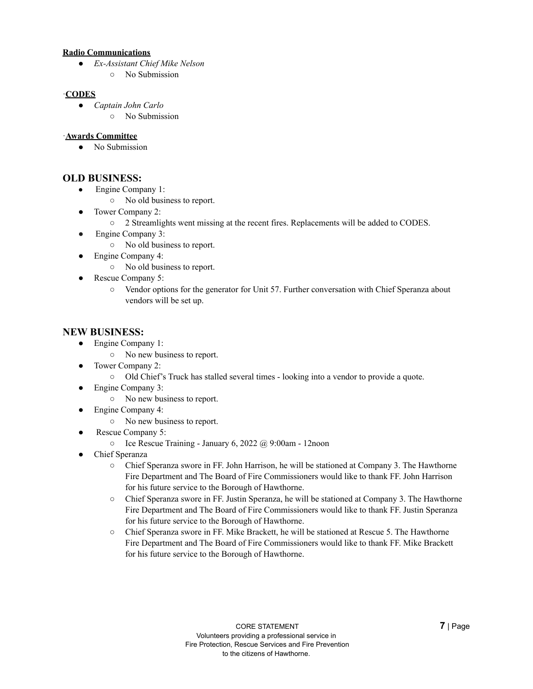#### **Radio Communications**

- *Ex-Assistant Chief Mike Nelson*
	- No Submission

#### ·**CODES**

- *Captain John Carlo*
	- No Submission

#### ·**Awards Committee**

● No Submission

## **OLD BUSINESS:**

- Engine Company 1:
	- No old business to report.
- Tower Company 2:
	- 2 Streamlights went missing at the recent fires. Replacements will be added to CODES.
- Engine Company 3:
	- No old business to report.
- Engine Company 4:
	- No old business to report.
- Rescue Company 5:
	- Vendor options for the generator for Unit 57. Further conversation with Chief Speranza about vendors will be set up.

#### **NEW BUSINESS:**

- Engine Company 1:
	- No new business to report.
- Tower Company 2:
	- Old Chief's Truck has stalled several times looking into a vendor to provide a quote.
- Engine Company 3:
	- No new business to report.
- Engine Company 4:
	- No new business to report.
- Rescue Company 5:
	- $\circ$  Ice Rescue Training January 6, 2022 @ 9:00am 12noon
- Chief Speranza
	- Chief Speranza swore in FF. John Harrison, he will be stationed at Company 3. The Hawthorne Fire Department and The Board of Fire Commissioners would like to thank FF. John Harrison for his future service to the Borough of Hawthorne.
	- Chief Speranza swore in FF. Justin Speranza, he will be stationed at Company 3. The Hawthorne Fire Department and The Board of Fire Commissioners would like to thank FF. Justin Speranza for his future service to the Borough of Hawthorne.
	- Chief Speranza swore in FF. Mike Brackett, he will be stationed at Rescue 5. The Hawthorne Fire Department and The Board of Fire Commissioners would like to thank FF. Mike Brackett for his future service to the Borough of Hawthorne.